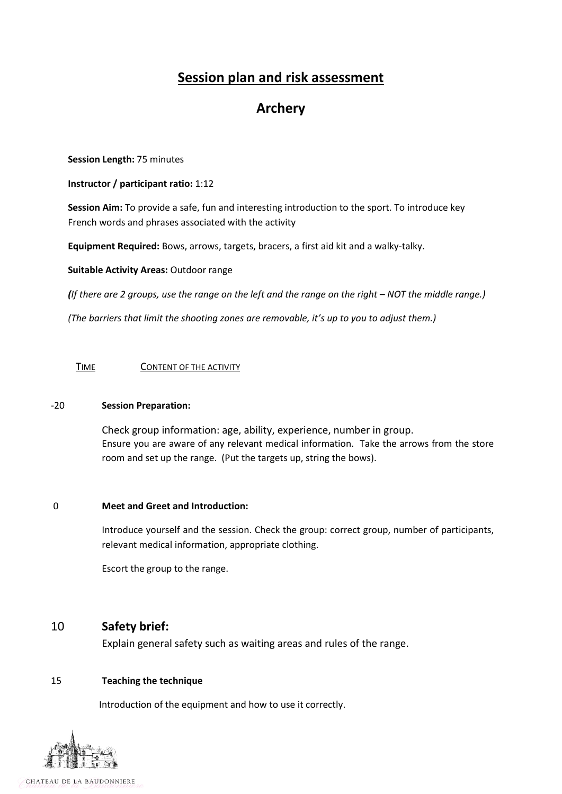# **Session plan and risk assessment**

# **Archery**

**Session Length:** 75 minutes

**Instructor / participant ratio:** 1:12

**Session Aim:** To provide a safe, fun and interesting introduction to the sport. To introduce key French words and phrases associated with the activity

**Equipment Required:** Bows, arrows, targets, bracers, a first aid kit and a walky-talky.

**Suitable Activity Areas:** Outdoor range

*(If there are 2 groups, use the range on the left and the range on the right – NOT the middle range.)*

*(The barriers that limit the shooting zones are removable, it's up to you to adjust them.)*

TIMECONTENT OF THE ACTIVITY

## -20 **Session Preparation:**

Check group information: age, ability, experience, number in group. Ensure you are aware of any relevant medical information. Take the arrows from the store room and set up the range. (Put the targets up, string the bows).

## 0 **Meet and Greet and Introduction:**

Introduce yourself and the session. Check the group: correct group, number of participants, relevant medical information, appropriate clothing.

Escort the group to the range.

# 10 **Safety brief:**

Explain general safety such as waiting areas and rules of the range.

## 15 **Teaching the technique**

Introduction of the equipment and how to use it correctly.

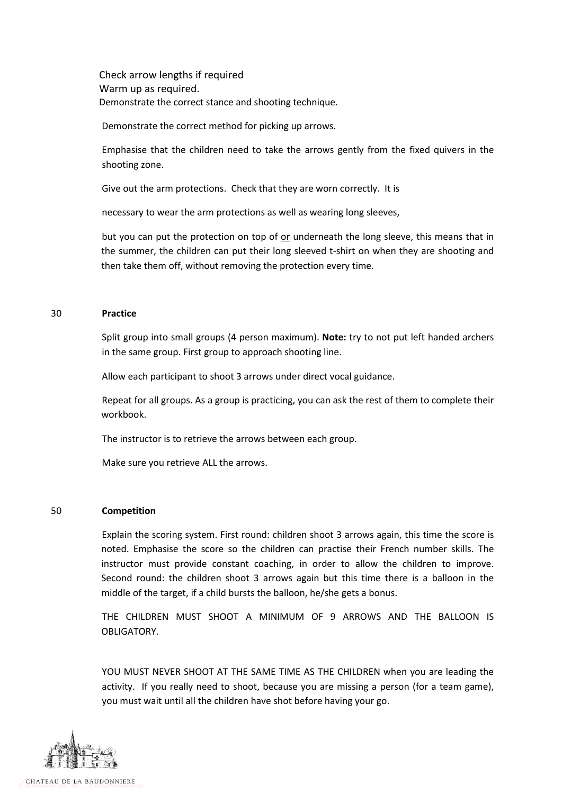Check arrow lengths if required Warm up as required. Demonstrate the correct stance and shooting technique.

Demonstrate the correct method for picking up arrows.

Emphasise that the children need to take the arrows gently from the fixed quivers in the shooting zone.

Give out the arm protections. Check that they are worn correctly. It is

necessary to wear the arm protections as well as wearing long sleeves,

but you can put the protection on top of or underneath the long sleeve, this means that in the summer, the children can put their long sleeved t-shirt on when they are shooting and then take them off, without removing the protection every time.

#### 30 **Practice**

Split group into small groups (4 person maximum). **Note:** try to not put left handed archers in the same group. First group to approach shooting line.

Allow each participant to shoot 3 arrows under direct vocal guidance.

Repeat for all groups. As a group is practicing, you can ask the rest of them to complete their workbook.

The instructor is to retrieve the arrows between each group.

Make sure you retrieve ALL the arrows.

#### 50 **Competition**

Explain the scoring system. First round: children shoot 3 arrows again, this time the score is noted. Emphasise the score so the children can practise their French number skills. The instructor must provide constant coaching, in order to allow the children to improve. Second round: the children shoot 3 arrows again but this time there is a balloon in the middle of the target, if a child bursts the balloon, he/she gets a bonus.

THE CHILDREN MUST SHOOT A MINIMUM OF 9 ARROWS AND THE BALLOON IS OBLIGATORY.

YOU MUST NEVER SHOOT AT THE SAME TIME AS THE CHILDREN when you are leading the activity. If you really need to shoot, because you are missing a person (for a team game), you must wait until all the children have shot before having your go.

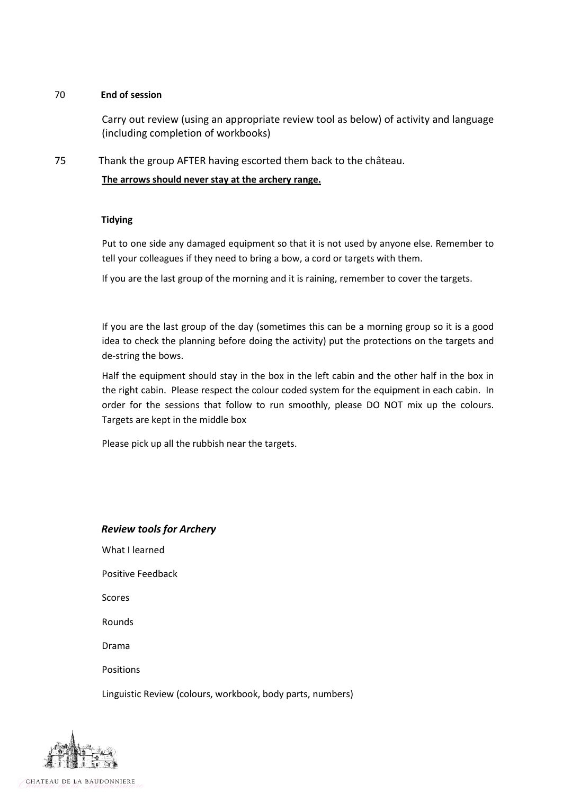## 70 **End of session**

Carry out review (using an appropriate review tool as below) of activity and language (including completion of workbooks)

75 Thank the group AFTER having escorted them back to the château.

**The arrows should never stay at the archery range.**

## **Tidying**

Put to one side any damaged equipment so that it is not used by anyone else. Remember to tell your colleagues if they need to bring a bow, a cord or targets with them.

If you are the last group of the morning and it is raining, remember to cover the targets.

If you are the last group of the day (sometimes this can be a morning group so it is a good idea to check the planning before doing the activity) put the protections on the targets and de-string the bows.

Half the equipment should stay in the box in the left cabin and the other half in the box in the right cabin. Please respect the colour coded system for the equipment in each cabin. In order for the sessions that follow to run smoothly, please DO NOT mix up the colours. Targets are kept in the middle box

Please pick up all the rubbish near the targets.

## *Review tools for Archery*

What I learned

Positive Feedback

Scores

Rounds

Drama

Positions

Linguistic Review (colours, workbook, body parts, numbers)



CHATEAU DE LA BAUDONNIERE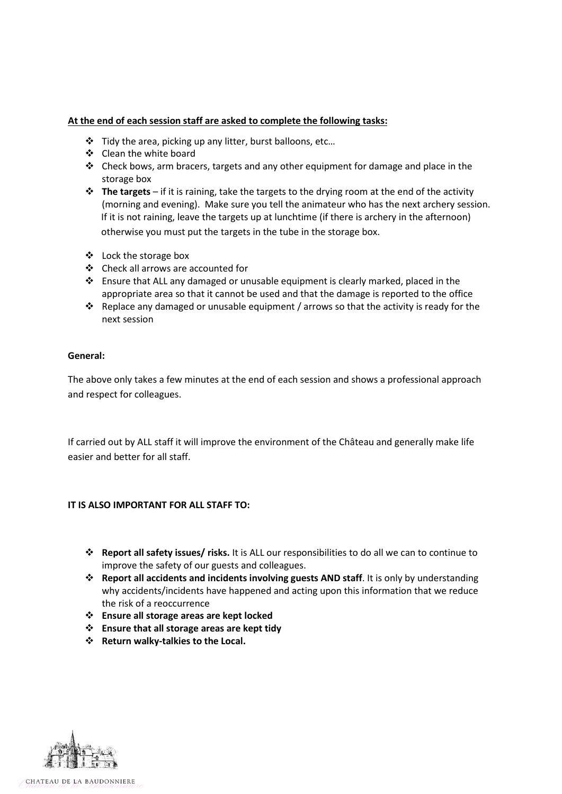## **At the end of each session staff are asked to complete the following tasks:**

- Tidy the area, picking up any litter, burst balloons, etc…
- ❖ Clean the white board
- $\div$  Check bows, arm bracers, targets and any other equipment for damage and place in the storage box
- **The targets**  if it is raining, take the targets to the drying room at the end of the activity (morning and evening). Make sure you tell the animateur who has the next archery session. If it is not raining, leave the targets up at lunchtime (if there is archery in the afternoon) otherwise you must put the targets in the tube in the storage box.
- Lock the storage box
- Check all arrows are accounted for
- Ensure that ALL any damaged or unusable equipment is clearly marked, placed in the appropriate area so that it cannot be used and that the damage is reported to the office
- $\cdot$  Replace any damaged or unusable equipment / arrows so that the activity is ready for the next session

## **General:**

The above only takes a few minutes at the end of each session and shows a professional approach and respect for colleagues.

If carried out by ALL staff it will improve the environment of the Château and generally make life easier and better for all staff.

## **IT IS ALSO IMPORTANT FOR ALL STAFF TO:**

- **Report all safety issues/ risks.** It is ALL our responsibilities to do all we can to continue to improve the safety of our guests and colleagues.
- **Report all accidents and incidents involving guests AND staff**. It is only by understanding why accidents/incidents have happened and acting upon this information that we reduce the risk of a reoccurrence
- **Ensure all storage areas are kept locked**
- **Ensure that all storage areas are kept tidy**
- **Return walky-talkies to the Local.**

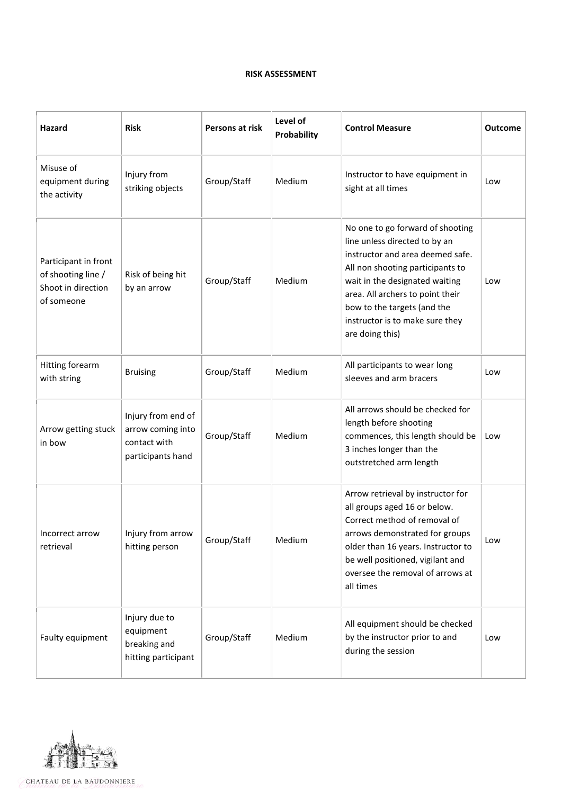#### **RISK ASSESSMENT**

| Hazard                                                                         | <b>Risk</b>                                                                  | Persons at risk | Level of<br>Probability | <b>Control Measure</b>                                                                                                                                                                                                                                                                               | <b>Outcome</b> |
|--------------------------------------------------------------------------------|------------------------------------------------------------------------------|-----------------|-------------------------|------------------------------------------------------------------------------------------------------------------------------------------------------------------------------------------------------------------------------------------------------------------------------------------------------|----------------|
| Misuse of<br>equipment during<br>the activity                                  | Injury from<br>striking objects                                              | Group/Staff     | Medium                  | Instructor to have equipment in<br>sight at all times                                                                                                                                                                                                                                                | Low            |
| Participant in front<br>of shooting line /<br>Shoot in direction<br>of someone | Risk of being hit<br>by an arrow                                             | Group/Staff     | Medium                  | No one to go forward of shooting<br>line unless directed to by an<br>instructor and area deemed safe.<br>All non shooting participants to<br>wait in the designated waiting<br>area. All archers to point their<br>bow to the targets (and the<br>instructor is to make sure they<br>are doing this) | Low            |
| Hitting forearm<br>with string                                                 | <b>Bruising</b>                                                              | Group/Staff     | Medium                  | All participants to wear long<br>sleeves and arm bracers                                                                                                                                                                                                                                             | Low            |
| Arrow getting stuck<br>in bow                                                  | Injury from end of<br>arrow coming into<br>contact with<br>participants hand | Group/Staff     | Medium                  | All arrows should be checked for<br>length before shooting<br>commences, this length should be<br>3 inches longer than the<br>outstretched arm length                                                                                                                                                | Low            |
| Incorrect arrow<br>retrieval                                                   | Injury from arrow<br>hitting person                                          | Group/Staff     | Medium                  | Arrow retrieval by instructor for<br>all groups aged 16 or below.<br>Correct method of removal of<br>arrows demonstrated for groups<br>older than 16 years. Instructor to<br>be well positioned, vigilant and<br>oversee the removal of arrows at<br>all times                                       | Low            |
| Faulty equipment                                                               | Injury due to<br>equipment<br>breaking and<br>hitting participant            | Group/Staff     | Medium                  | All equipment should be checked<br>by the instructor prior to and<br>during the session                                                                                                                                                                                                              | Low            |



CHATEAU DE LA BAUDONNIERE